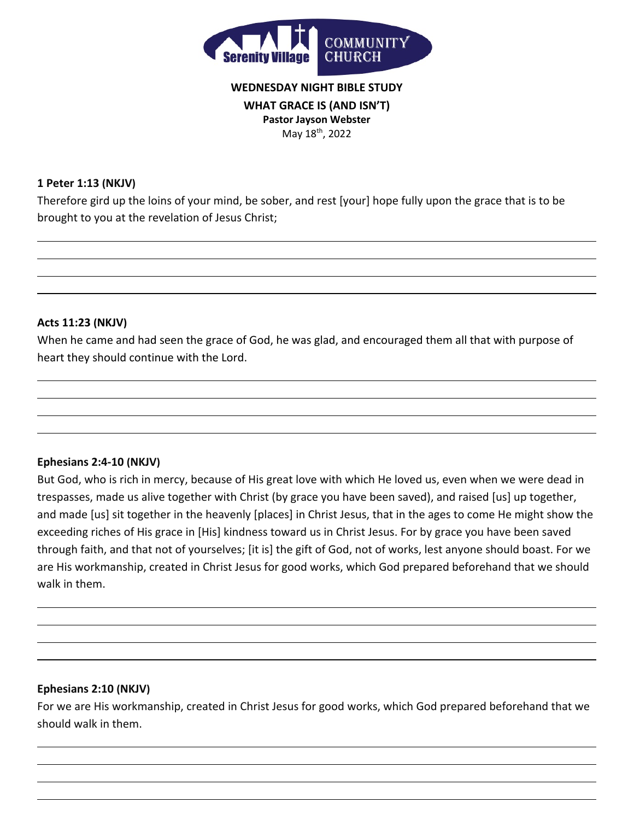

# **WEDNESDAY NIGHT BIBLE STUDY WHAT GRACE IS (AND ISN'T) Pastor Jayson Webster** May 18<sup>th</sup>, 2022

### **1 Peter 1:13 (NKJV)**

Therefore gird up the loins of your mind, be sober, and rest [your] hope fully upon the grace that is to be brought to you at the revelation of Jesus Christ;

#### **Acts 11:23 (NKJV)**

When he came and had seen the grace of God, he was glad, and encouraged them all that with purpose of heart they should continue with the Lord.

## **Ephesians 2:4-10 (NKJV)**

But God, who is rich in mercy, because of His great love with which He loved us, even when we were dead in trespasses, made us alive together with Christ (by grace you have been saved), and raised [us] up together, and made [us] sit together in the heavenly [places] in Christ Jesus, that in the ages to come He might show the exceeding riches of His grace in [His] kindness toward us in Christ Jesus. For by grace you have been saved through faith, and that not of yourselves; [it is] the gift of God, not of works, lest anyone should boast. For we are His workmanship, created in Christ Jesus for good works, which God prepared beforehand that we should walk in them.

## **Ephesians 2:10 (NKJV)**

For we are His workmanship, created in Christ Jesus for good works, which God prepared beforehand that we should walk in them.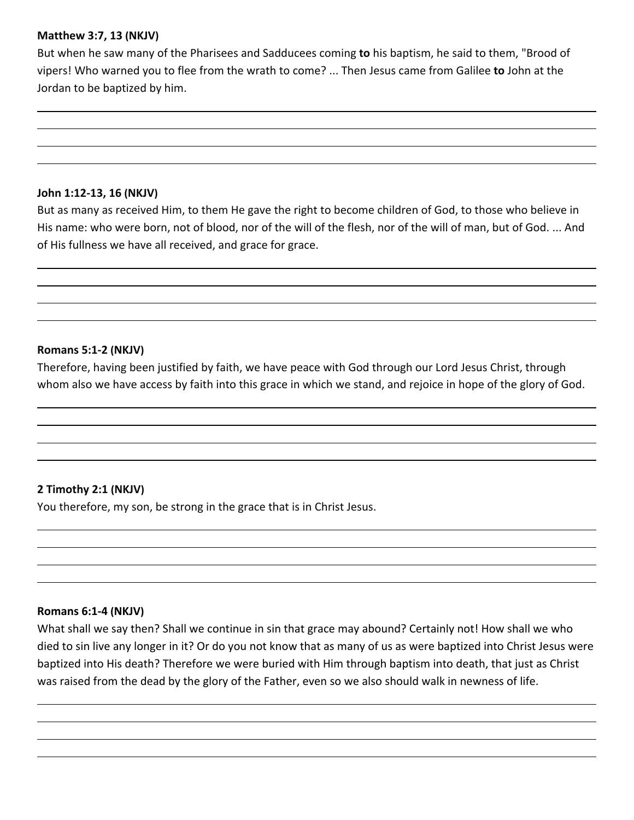## **Matthew 3:7, 13 (NKJV)**

But when he saw many of the Pharisees and Sadducees coming **to** his baptism, he said to them, "Brood of vipers! Who warned you to flee from the wrath to come? ... Then Jesus came from Galilee **to** John at the Jordan to be baptized by him.

#### **John 1:12-13, 16 (NKJV)**

But as many as received Him, to them He gave the right to become children of God, to those who believe in His name: who were born, not of blood, nor of the will of the flesh, nor of the will of man, but of God. ... And of His fullness we have all received, and grace for grace.

#### **Romans 5:1-2 (NKJV)**

Therefore, having been justified by faith, we have peace with God through our Lord Jesus Christ, through whom also we have access by faith into this grace in which we stand, and rejoice in hope of the glory of God.

## **2 Timothy 2:1 (NKJV)**

You therefore, my son, be strong in the grace that is in Christ Jesus.

#### **Romans 6:1-4 (NKJV)**

What shall we say then? Shall we continue in sin that grace may abound? Certainly not! How shall we who died to sin live any longer in it? Or do you not know that as many of us as were baptized into Christ Jesus were baptized into His death? Therefore we were buried with Him through baptism into death, that just as Christ was raised from the dead by the glory of the Father, even so we also should walk in newness of life.